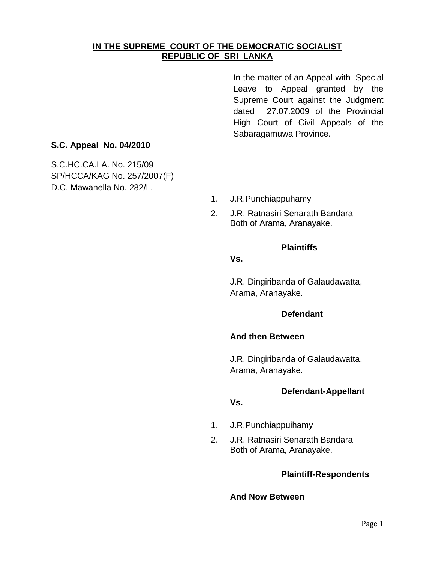# **IN THE SUPREME COURT OF THE DEMOCRATIC SOCIALIST REPUBLIC OF SRI LANKA**

In the matter of an Appeal with Special Leave to Appeal granted by the Supreme Court against the Judgment dated 27.07.2009 of the Provincial High Court of Civil Appeals of the Sabaragamuwa Province.

# **S.C. Appeal No. 04/2010**

S.C.HC.CA.LA. No. 215/09 SP/HCCA/KAG No. 257/2007(F) D.C. Mawanella No. 282/L.

- 1. J.R.Punchiappuhamy
- 2. J.R. Ratnasiri Senarath Bandara Both of Arama, Aranayake.

#### **Plaintiffs**

## **Vs.**

J.R. Dingiribanda of Galaudawatta, Arama, Aranayake.

#### **Defendant**

#### **And then Between**

J.R. Dingiribanda of Galaudawatta, Arama, Aranayake.

#### **Defendant-Appellant**

## **Vs.**

- 1. J.R.Punchiappuihamy
- 2. J.R. Ratnasiri Senarath Bandara Both of Arama, Aranayake.

#### **Plaintiff-Respondents**

## **And Now Between**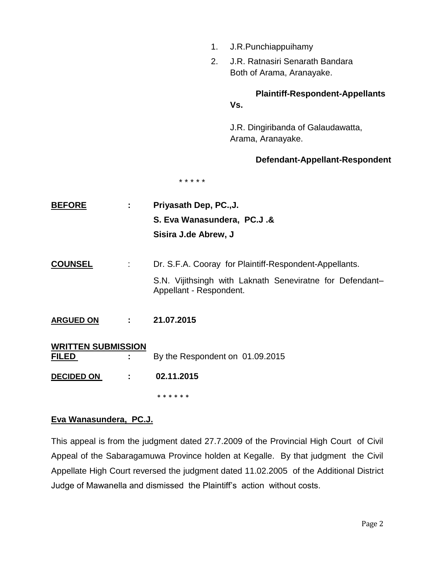|                           | 1.<br>J.R.Punchiappuihamy                                                           |
|---------------------------|-------------------------------------------------------------------------------------|
|                           | J.R. Ratnasiri Senarath Bandara<br>2.                                               |
|                           | Both of Arama, Aranayake.                                                           |
|                           | <b>Plaintiff-Respondent-Appellants</b>                                              |
|                           | Vs.                                                                                 |
|                           | J.R. Dingiribanda of Galaudawatta,<br>Arama, Aranayake.                             |
|                           | Defendant-Appellant-Respondent                                                      |
|                           | * * * * *                                                                           |
| <b>BEFORE</b><br>÷.       | Priyasath Dep, PC.,J.                                                               |
|                           | S. Eva Wanasundera, PC.J.&                                                          |
|                           | Sisira J.de Abrew, J                                                                |
| <b>COUNSEL</b><br>t       | Dr. S.F.A. Cooray for Plaintiff-Respondent-Appellants.                              |
|                           | S.N. Vijithsingh with Laknath Seneviratne for Defendant-<br>Appellant - Respondent. |
| <b>ARGUED ON</b><br>÷     | 21.07.2015                                                                          |
| <b>WRITTEN SUBMISSION</b> |                                                                                     |
| <u>FILED</u>              | By the Respondent on 01.09.2015                                                     |
| <b>DECIDED ON</b>         | 02.11.2015                                                                          |
|                           | * * * * * *                                                                         |

# **Eva Wanasundera, PC.J.**

This appeal is from the judgment dated 27.7.2009 of the Provincial High Court of Civil Appeal of the Sabaragamuwa Province holden at Kegalle. By that judgment the Civil Appellate High Court reversed the judgment dated 11.02.2005 of the Additional District Judge of Mawanella and dismissed the Plaintiff"s action without costs.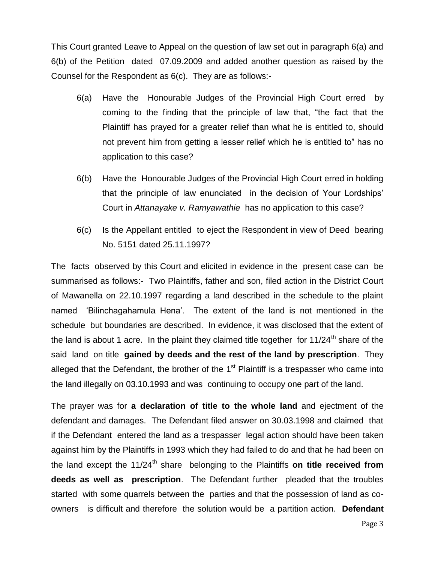This Court granted Leave to Appeal on the question of law set out in paragraph 6(a) and 6(b) of the Petition dated 07.09.2009 and added another question as raised by the Counsel for the Respondent as 6(c). They are as follows:-

- 6(a) Have the Honourable Judges of the Provincial High Court erred by coming to the finding that the principle of law that, "the fact that the Plaintiff has prayed for a greater relief than what he is entitled to, should not prevent him from getting a lesser relief which he is entitled to" has no application to this case?
- 6(b) Have the Honourable Judges of the Provincial High Court erred in holding that the principle of law enunciated in the decision of Your Lordships" Court in *Attanayake v. Ramyawathie* has no application to this case?
- 6(c) Is the Appellant entitled to eject the Respondent in view of Deed bearing No. 5151 dated 25.11.1997?

The facts observed by this Court and elicited in evidence in the present case can be summarised as follows:- Two Plaintiffs, father and son, filed action in the District Court of Mawanella on 22.10.1997 regarding a land described in the schedule to the plaint named "Bilinchagahamula Hena". The extent of the land is not mentioned in the schedule but boundaries are described. In evidence, it was disclosed that the extent of the land is about 1 acre. In the plaint they claimed title together for  $11/24$ <sup>th</sup> share of the said land on title **gained by deeds and the rest of the land by prescription**. They alleged that the Defendant, the brother of the  $1<sup>st</sup>$  Plaintiff is a trespasser who came into the land illegally on 03.10.1993 and was continuing to occupy one part of the land.

The prayer was for **a declaration of title to the whole land** and ejectment of the defendant and damages. The Defendant filed answer on 30.03.1998 and claimed that if the Defendant entered the land as a trespasser legal action should have been taken against him by the Plaintiffs in 1993 which they had failed to do and that he had been on the land except the 11/24<sup>th</sup> share belonging to the Plaintiffs on title received from **deeds as well as prescription**. The Defendant further pleaded that the troubles started with some quarrels between the parties and that the possession of land as coowners is difficult and therefore the solution would be a partition action. **Defendant**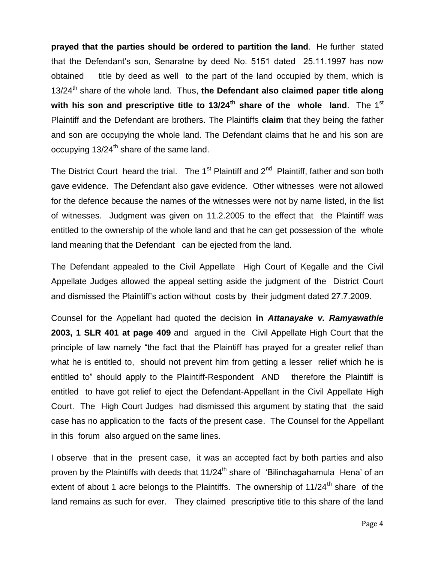**prayed that the parties should be ordered to partition the land**. He further stated that the Defendant"s son, Senaratne by deed No. 5151 dated 25.11.1997 has now obtained title by deed as well to the part of the land occupied by them, which is 13/24<sup>th</sup> share of the whole land. Thus, the Defendant also claimed paper title along with his son and prescriptive title to 13/24<sup>th</sup> share of the whole land. The 1<sup>st</sup> Plaintiff and the Defendant are brothers. The Plaintiffs **claim** that they being the father and son are occupying the whole land. The Defendant claims that he and his son are occupying  $13/24^{\text{th}}$  share of the same land.

The District Court heard the trial. The 1<sup>st</sup> Plaintiff and 2<sup>nd</sup> Plaintiff, father and son both gave evidence. The Defendant also gave evidence. Other witnesses were not allowed for the defence because the names of the witnesses were not by name listed, in the list of witnesses. Judgment was given on 11.2.2005 to the effect that the Plaintiff was entitled to the ownership of the whole land and that he can get possession of the whole land meaning that the Defendant can be ejected from the land.

The Defendant appealed to the Civil Appellate High Court of Kegalle and the Civil Appellate Judges allowed the appeal setting aside the judgment of the District Court and dismissed the Plaintiff"s action without costs by their judgment dated 27.7.2009.

Counsel for the Appellant had quoted the decision **in** *Attanayake v. Ramyawathie*  **2003, 1 SLR 401 at page 409** and argued in the Civil Appellate High Court that the principle of law namely "the fact that the Plaintiff has prayed for a greater relief than what he is entitled to, should not prevent him from getting a lesser relief which he is entitled to" should apply to the Plaintiff-Respondent AND therefore the Plaintiff is entitled to have got relief to eject the Defendant-Appellant in the Civil Appellate High Court. The High Court Judges had dismissed this argument by stating that the said case has no application to the facts of the present case. The Counsel for the Appellant in this forum also argued on the same lines.

I observe that in the present case, it was an accepted fact by both parties and also proven by the Plaintiffs with deeds that 11/24<sup>th</sup> share of 'Bilinchagahamula Hena' of an extent of about 1 acre belongs to the Plaintiffs. The ownership of  $11/24<sup>th</sup>$  share of the land remains as such for ever. They claimed prescriptive title to this share of the land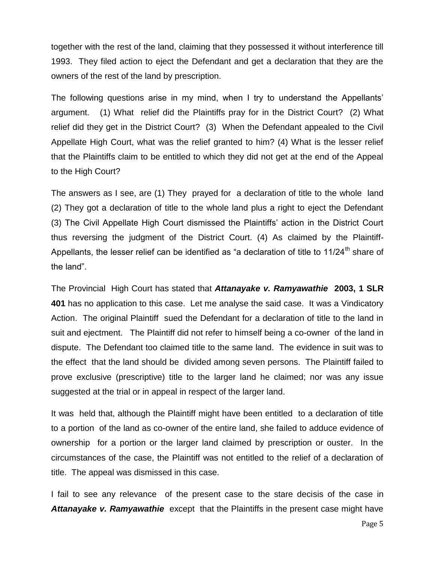together with the rest of the land, claiming that they possessed it without interference till 1993. They filed action to eject the Defendant and get a declaration that they are the owners of the rest of the land by prescription.

The following questions arise in my mind, when I try to understand the Appellants' argument. (1) What relief did the Plaintiffs pray for in the District Court? (2) What relief did they get in the District Court? (3) When the Defendant appealed to the Civil Appellate High Court, what was the relief granted to him? (4) What is the lesser relief that the Plaintiffs claim to be entitled to which they did not get at the end of the Appeal to the High Court?

The answers as I see, are (1) They prayed for a declaration of title to the whole land (2) They got a declaration of title to the whole land plus a right to eject the Defendant (3) The Civil Appellate High Court dismissed the Plaintiffs" action in the District Court thus reversing the judgment of the District Court. (4) As claimed by the Plaintiff-Appellants, the lesser relief can be identified as "a declaration of title to  $11/24$ <sup>th</sup> share of the land".

The Provincial High Court has stated that *Attanayake v. Ramyawathie* **2003, 1 SLR 401** has no application to this case. Let me analyse the said case. It was a Vindicatory Action. The original Plaintiff sued the Defendant for a declaration of title to the land in suit and ejectment. The Plaintiff did not refer to himself being a co-owner of the land in dispute. The Defendant too claimed title to the same land. The evidence in suit was to the effect that the land should be divided among seven persons. The Plaintiff failed to prove exclusive (prescriptive) title to the larger land he claimed; nor was any issue suggested at the trial or in appeal in respect of the larger land.

It was held that, although the Plaintiff might have been entitled to a declaration of title to a portion of the land as co-owner of the entire land, she failed to adduce evidence of ownership for a portion or the larger land claimed by prescription or ouster. In the circumstances of the case, the Plaintiff was not entitled to the relief of a declaration of title. The appeal was dismissed in this case.

I fail to see any relevance of the present case to the stare decisis of the case in *Attanayake v. Ramyawathie* except that the Plaintiffs in the present case might have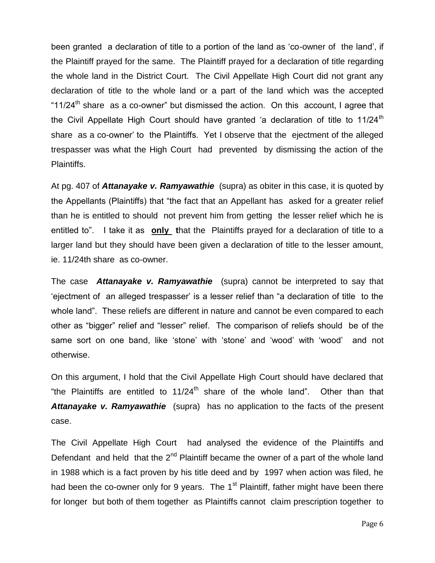been granted a declaration of title to a portion of the land as "co-owner of the land", if the Plaintiff prayed for the same. The Plaintiff prayed for a declaration of title regarding the whole land in the District Court. The Civil Appellate High Court did not grant any declaration of title to the whole land or a part of the land which was the accepted "11/24<sup>th</sup> share as a co-owner" but dismissed the action. On this account, I agree that the Civil Appellate High Court should have granted 'a declaration of title to 11/24<sup>th</sup> share as a co-owner" to the Plaintiffs. Yet I observe that the ejectment of the alleged trespasser was what the High Court had prevented by dismissing the action of the Plaintiffs.

At pg. 407 of *Attanayake v. Ramyawathie* (supra) as obiter in this case, it is quoted by the Appellants (Plaintiffs) that "the fact that an Appellant has asked for a greater relief than he is entitled to should not prevent him from getting the lesser relief which he is entitled to". I take it as **only t**hat the Plaintiffs prayed for a declaration of title to a larger land but they should have been given a declaration of title to the lesser amount, ie. 11/24th share as co-owner.

The case *Attanayake v. Ramyawathie* (supra) cannot be interpreted to say that "ejectment of an alleged trespasser" is a lesser relief than "a declaration of title to the whole land". These reliefs are different in nature and cannot be even compared to each other as "bigger" relief and "lesser" relief. The comparison of reliefs should be of the same sort on one band, like 'stone' with 'stone' and 'wood' with 'wood' and not otherwise.

On this argument, I hold that the Civil Appellate High Court should have declared that "the Plaintiffs are entitled to  $11/24^{\text{th}}$  share of the whole land". Other than that *Attanayake v. Ramyawathie* (supra) has no application to the facts of the present case.

The Civil Appellate High Court had analysed the evidence of the Plaintiffs and Defendant and held that the  $2^{nd}$  Plaintiff became the owner of a part of the whole land in 1988 which is a fact proven by his title deed and by 1997 when action was filed, he had been the co-owner only for 9 years. The 1<sup>st</sup> Plaintiff, father might have been there for longer but both of them together as Plaintiffs cannot claim prescription together to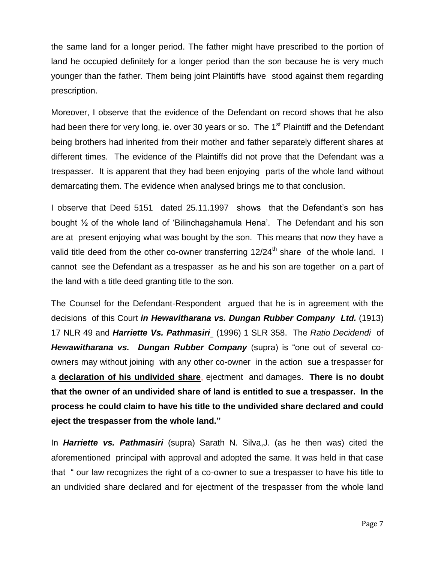the same land for a longer period. The father might have prescribed to the portion of land he occupied definitely for a longer period than the son because he is very much younger than the father. Them being joint Plaintiffs have stood against them regarding prescription.

Moreover, I observe that the evidence of the Defendant on record shows that he also had been there for very long, ie. over 30 years or so. The 1<sup>st</sup> Plaintiff and the Defendant being brothers had inherited from their mother and father separately different shares at different times. The evidence of the Plaintiffs did not prove that the Defendant was a trespasser. It is apparent that they had been enjoying parts of the whole land without demarcating them. The evidence when analysed brings me to that conclusion.

I observe that Deed 5151 dated 25.11.1997 shows that the Defendant's son has bought ½ of the whole land of "Bilinchagahamula Hena". The Defendant and his son are at present enjoying what was bought by the son. This means that now they have a valid title deed from the other co-owner transferring  $12/24<sup>th</sup>$  share of the whole land. I cannot see the Defendant as a trespasser as he and his son are together on a part of the land with a title deed granting title to the son.

The Counsel for the Defendant-Respondent argued that he is in agreement with the decisions of this Court *in Hewavitharana vs. Dungan Rubber Company Ltd.* (1913) 17 NLR 49 and *Harriette Vs. Pathmasiri* (1996) 1 SLR 358. The *Ratio Decidendi* of *Hewawitharana vs. Dungan Rubber Company* (supra) is "one out of several coowners may without joining with any other co-owner in the action sue a trespasser for a **declaration of his undivided share**, ejectment and damages. **There is no doubt that the owner of an undivided share of land is entitled to sue a trespasser. In the process he could claim to have his title to the undivided share declared and could eject the trespasser from the whole land."**

In *Harriette vs. Pathmasiri* (supra) Sarath N. Silva,J. (as he then was) cited the aforementioned principal with approval and adopted the same. It was held in that case that " our law recognizes the right of a co-owner to sue a trespasser to have his title to an undivided share declared and for ejectment of the trespasser from the whole land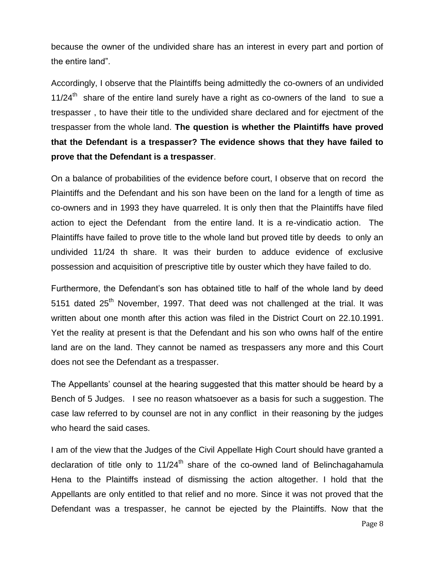because the owner of the undivided share has an interest in every part and portion of the entire land".

Accordingly, I observe that the Plaintiffs being admittedly the co-owners of an undivided  $11/24<sup>th</sup>$  share of the entire land surely have a right as co-owners of the land to sue a trespasser , to have their title to the undivided share declared and for ejectment of the trespasser from the whole land. **The question is whether the Plaintiffs have proved that the Defendant is a trespasser? The evidence shows that they have failed to prove that the Defendant is a trespasser**.

On a balance of probabilities of the evidence before court, I observe that on record the Plaintiffs and the Defendant and his son have been on the land for a length of time as co-owners and in 1993 they have quarreled. It is only then that the Plaintiffs have filed action to eject the Defendant from the entire land. It is a re-vindicatio action. The Plaintiffs have failed to prove title to the whole land but proved title by deeds to only an undivided 11/24 th share. It was their burden to adduce evidence of exclusive possession and acquisition of prescriptive title by ouster which they have failed to do.

Furthermore, the Defendant"s son has obtained title to half of the whole land by deed 5151 dated  $25<sup>th</sup>$  November, 1997. That deed was not challenged at the trial. It was written about one month after this action was filed in the District Court on 22.10.1991. Yet the reality at present is that the Defendant and his son who owns half of the entire land are on the land. They cannot be named as trespassers any more and this Court does not see the Defendant as a trespasser.

The Appellants" counsel at the hearing suggested that this matter should be heard by a Bench of 5 Judges. I see no reason whatsoever as a basis for such a suggestion. The case law referred to by counsel are not in any conflict in their reasoning by the judges who heard the said cases.

I am of the view that the Judges of the Civil Appellate High Court should have granted a declaration of title only to  $11/24<sup>th</sup>$  share of the co-owned land of Belinchagahamula Hena to the Plaintiffs instead of dismissing the action altogether. I hold that the Appellants are only entitled to that relief and no more. Since it was not proved that the Defendant was a trespasser, he cannot be ejected by the Plaintiffs. Now that the